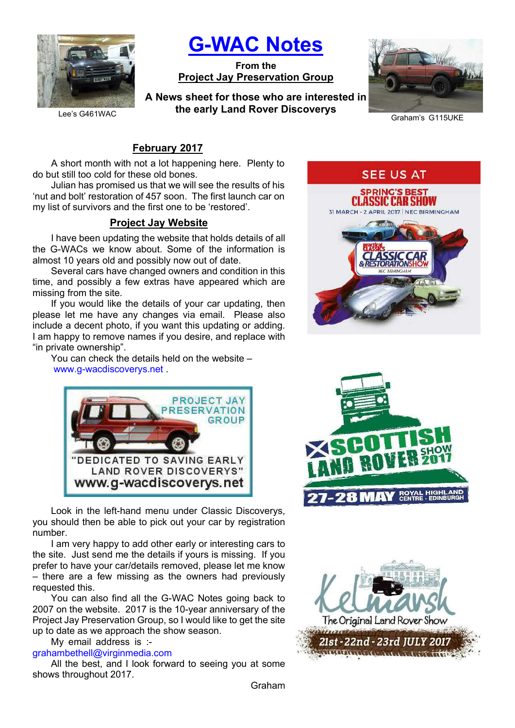

G-WAC Notes

From the Project Jay Preservation Group

A News sheet for those who are interested in the early Land Rover Discoverys



Graham's G115UKE

# February 2017

A short month with not a lot happening here. Plenty to do but still too cold for these old bones.

Julian has promised us that we will see the results of his 'nut and bolt' restoration of 457 soon. The first launch car on my list of survivors and the first one to be 'restored'.

# Project Jay Website

I have been updating the website that holds details of all the G-WACs we know about. Some of the information is almost 10 years old and possibly now out of date.

Several cars have changed owners and condition in this time, and possibly a few extras have appeared which are missing from the site.

If you would like the details of your car updating, then please let me have any changes via email. Please also include a decent photo, if you want this updating or adding. I am happy to remove names if you desire, and replace with "in private ownership".

You can check the details held on the website – www.g-wacdiscoverys.net .



Look in the left-hand menu under Classic Discoverys, you should then be able to pick out your car by registration number.

I am very happy to add other early or interesting cars to the site. Just send me the details if yours is missing. If you prefer to have your car/details removed, please let me know – there are a few missing as the owners had previously requested this.

You can also find all the G-WAC Notes going back to 2007 on the website. 2017 is the 10-year anniversary of the Project Jay Preservation Group, so I would like to get the site up to date as we approach the show season.

My email address is :-

grahambethell@virginmedia.com

All the best, and I look forward to seeing you at some shows throughout 2017.





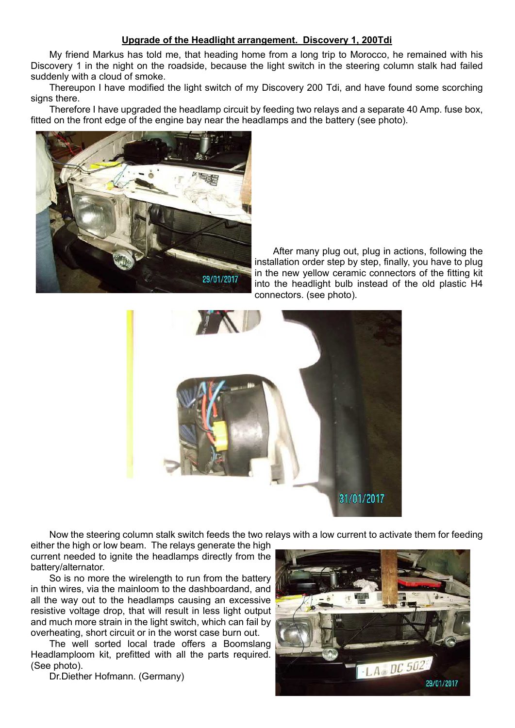### Upgrade of the Headlight arrangement. Discovery 1, 200Tdi

My friend Markus has told me, that heading home from a long trip to Morocco, he remained with his Discovery 1 in the night on the roadside, because the light switch in the steering column stalk had failed suddenly with a cloud of smoke.

Thereupon I have modified the light switch of my Discovery 200 Tdi, and have found some scorching signs there.

Therefore I have upgraded the headlamp circuit by feeding two relays and a separate 40 Amp. fuse box, fitted on the front edge of the engine bay near the headlamps and the battery (see photo).



After many plug out, plug in actions, following the installation order step by step, finally, you have to plug in the new yellow ceramic connectors of the fitting kit into the headlight bulb instead of the old plastic H4 connectors. (see photo).



Now the steering column stalk switch feeds the two relays with a low current to activate them for feeding

either the high or low beam. The relays generate the high current needed to ignite the headlamps directly from the battery/alternator.

So is no more the wirelength to run from the battery in thin wires, via the mainloom to the dashboardand, and all the way out to the headlamps causing an excessive resistive voltage drop, that will result in less light output and much more strain in the light switch, which can fail by overheating, short circuit or in the worst case burn out.

The well sorted local trade offers a Boomslang Headlamploom kit, prefitted with all the parts required. (See photo).

Dr.Diether Hofmann. (Germany)

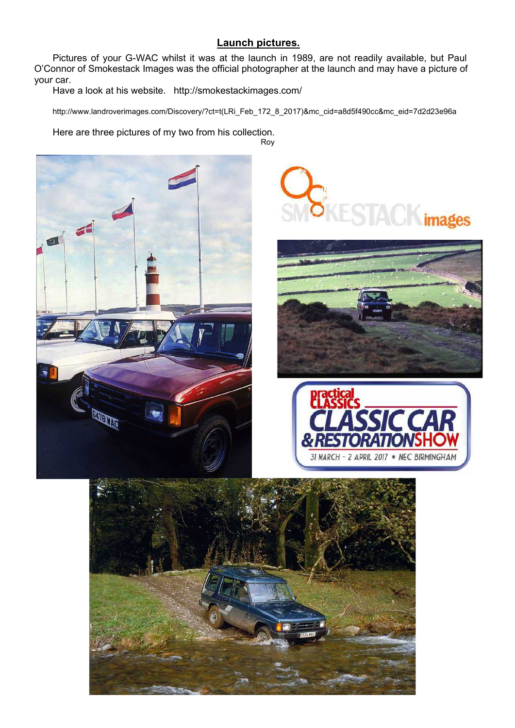# Launch pictures.

Pictures of your G-WAC whilst it was at the launch in 1989, are not readily available, but Paul O'Connor of Smokestack Images was the official photographer at the launch and may have a picture of your car.

Have a look at his website. http://smokestackimages.com/

http://www.landroverimages.com/Discovery/?ct=t(LRi\_Feb\_172\_8\_2017)&mc\_cid=a8d5f490cc&mc\_eid=7d2d23e96a

Here are three pictures of my two from his collection. Roy









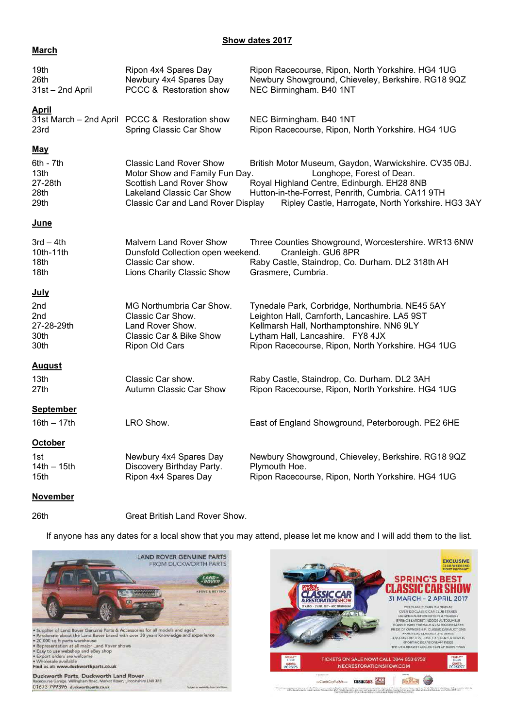#### Show dates 2017

### **March**

| 19th<br>26th<br>31st - 2nd April                             | Ripon 4x4 Spares Day<br>Newbury 4x4 Spares Day<br>PCCC & Restoration show                                                                                              | Ripon Racecourse, Ripon, North Yorkshire. HG4 1UG<br>Newbury Showground, Chieveley, Berkshire. RG18 9QZ<br>NEC Birmingham. B40 1NT                                                                                                          |
|--------------------------------------------------------------|------------------------------------------------------------------------------------------------------------------------------------------------------------------------|---------------------------------------------------------------------------------------------------------------------------------------------------------------------------------------------------------------------------------------------|
| <b>April</b><br>23rd                                         | 31st March - 2nd April PCCC & Restoration show<br>Spring Classic Car Show                                                                                              | NEC Birmingham. B40 1NT<br>Ripon Racecourse, Ripon, North Yorkshire. HG4 1UG                                                                                                                                                                |
| <b>May</b><br>$6th - 7th$<br>13th<br>27-28th<br>28th<br>29th | <b>Classic Land Rover Show</b><br>Motor Show and Family Fun Day.<br><b>Scottish Land Rover Show</b><br>Lakeland Classic Car Show<br>Classic Car and Land Rover Display | British Motor Museum, Gaydon, Warwickshire. CV35 0BJ.<br>Longhope, Forest of Dean.<br>Royal Highland Centre, Edinburgh. EH28 8NB<br>Hutton-in-the-Forrest, Penrith, Cumbria. CA11 9TH<br>Ripley Castle, Harrogate, North Yorkshire. HG3 3AY |
| <b>June</b>                                                  |                                                                                                                                                                        |                                                                                                                                                                                                                                             |
| $3rd - 4th$<br>10th-11th<br>18th<br>18th                     | <b>Malvern Land Rover Show</b><br>Dunsfold Collection open weekend.<br>Classic Car show.<br>Lions Charity Classic Show                                                 | Three Counties Showground, Worcestershire. WR13 6NW<br>Cranleigh. GU6 8PR<br>Raby Castle, Staindrop, Co. Durham. DL2 318th AH<br>Grasmere, Cumbria.                                                                                         |
| <u>July</u><br>2nd<br>2nd<br>27-28-29th<br>30th<br>30th      | MG Northumbria Car Show.<br>Classic Car Show.<br>Land Rover Show.<br>Classic Car & Bike Show<br>Ripon Old Cars                                                         | Tynedale Park, Corbridge, Northumbria. NE45 5AY<br>Leighton Hall, Carnforth, Lancashire. LA5 9ST<br>Kellmarsh Hall, Northamptonshire. NN6 9LY<br>Lytham Hall, Lancashire. FY8 4JX<br>Ripon Racecourse, Ripon, North Yorkshire. HG4 1UG      |
| <b>August</b><br>13th<br>27th                                | Classic Car show.<br>Autumn Classic Car Show                                                                                                                           | Raby Castle, Staindrop, Co. Durham. DL2 3AH<br>Ripon Racecourse, Ripon, North Yorkshire. HG4 1UG                                                                                                                                            |
| <b>September</b><br>$16th - 17th$                            | LRO Show.                                                                                                                                                              | East of England Showground, Peterborough. PE2 6HE                                                                                                                                                                                           |
| <b>October</b><br>1st<br>$14th - 15th$<br>15th               | Newbury 4x4 Spares Day<br>Discovery Birthday Party.<br>Ripon 4x4 Spares Day                                                                                            | Newbury Showground, Chieveley, Berkshire. RG18 9QZ<br>Plymouth Hoe.<br>Ripon Racecourse, Ripon, North Yorkshire. HG4 1UG                                                                                                                    |

### November

#### 26th Great British Land Rover Show.

If anyone has any dates for a local show that you may attend, please let me know and I will add them to the list.